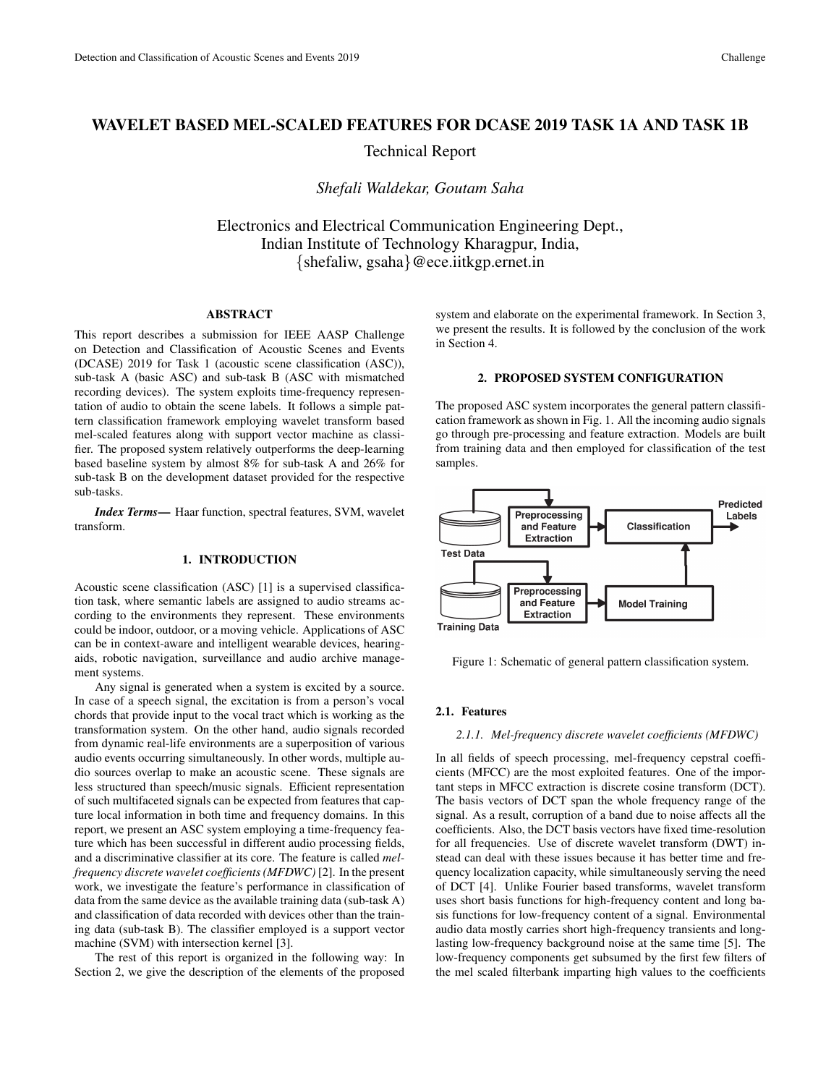# WAVELET BASED MEL-SCALED FEATURES FOR DCASE 2019 TASK 1A AND TASK 1B

Technical Report

*Shefali Waldekar, Goutam Saha*

Electronics and Electrical Communication Engineering Dept., Indian Institute of Technology Kharagpur, India, {shefaliw, gsaha}@ece.iitkgp.ernet.in

# ABSTRACT

This report describes a submission for IEEE AASP Challenge on Detection and Classification of Acoustic Scenes and Events (DCASE) 2019 for Task 1 (acoustic scene classification (ASC)), sub-task A (basic ASC) and sub-task B (ASC with mismatched recording devices). The system exploits time-frequency representation of audio to obtain the scene labels. It follows a simple pattern classification framework employing wavelet transform based mel-scaled features along with support vector machine as classifier. The proposed system relatively outperforms the deep-learning based baseline system by almost 8% for sub-task A and 26% for sub-task B on the development dataset provided for the respective sub-tasks.

*Index Terms*— Haar function, spectral features, SVM, wavelet transform.

#### 1. INTRODUCTION

Acoustic scene classification (ASC) [1] is a supervised classification task, where semantic labels are assigned to audio streams according to the environments they represent. These environments could be indoor, outdoor, or a moving vehicle. Applications of ASC can be in context-aware and intelligent wearable devices, hearingaids, robotic navigation, surveillance and audio archive management systems.

Any signal is generated when a system is excited by a source. In case of a speech signal, the excitation is from a person's vocal chords that provide input to the vocal tract which is working as the transformation system. On the other hand, audio signals recorded from dynamic real-life environments are a superposition of various audio events occurring simultaneously. In other words, multiple audio sources overlap to make an acoustic scene. These signals are less structured than speech/music signals. Efficient representation of such multifaceted signals can be expected from features that capture local information in both time and frequency domains. In this report, we present an ASC system employing a time-frequency feature which has been successful in different audio processing fields, and a discriminative classifier at its core. The feature is called *melfrequency discrete wavelet coefficients (MFDWC)* [2]. In the present work, we investigate the feature's performance in classification of data from the same device as the available training data (sub-task A) and classification of data recorded with devices other than the training data (sub-task B). The classifier employed is a support vector machine (SVM) with intersection kernel [3].

The rest of this report is organized in the following way: In Section 2, we give the description of the elements of the proposed system and elaborate on the experimental framework. In Section 3, we present the results. It is followed by the conclusion of the work in Section 4.

# 2. PROPOSED SYSTEM CONFIGURATION

The proposed ASC system incorporates the general pattern classification framework as shown in Fig. 1. All the incoming audio signals go through pre-processing and feature extraction. Models are built from training data and then employed for classification of the test samples.



Figure 1: Schematic of general pattern classification system.

# 2.1. Features

#### *2.1.1. Mel-frequency discrete wavelet coefficients (MFDWC)*

In all fields of speech processing, mel-frequency cepstral coefficients (MFCC) are the most exploited features. One of the important steps in MFCC extraction is discrete cosine transform (DCT). The basis vectors of DCT span the whole frequency range of the signal. As a result, corruption of a band due to noise affects all the coefficients. Also, the DCT basis vectors have fixed time-resolution for all frequencies. Use of discrete wavelet transform (DWT) instead can deal with these issues because it has better time and frequency localization capacity, while simultaneously serving the need of DCT [4]. Unlike Fourier based transforms, wavelet transform uses short basis functions for high-frequency content and long basis functions for low-frequency content of a signal. Environmental audio data mostly carries short high-frequency transients and longlasting low-frequency background noise at the same time [5]. The low-frequency components get subsumed by the first few filters of the mel scaled filterbank imparting high values to the coefficients